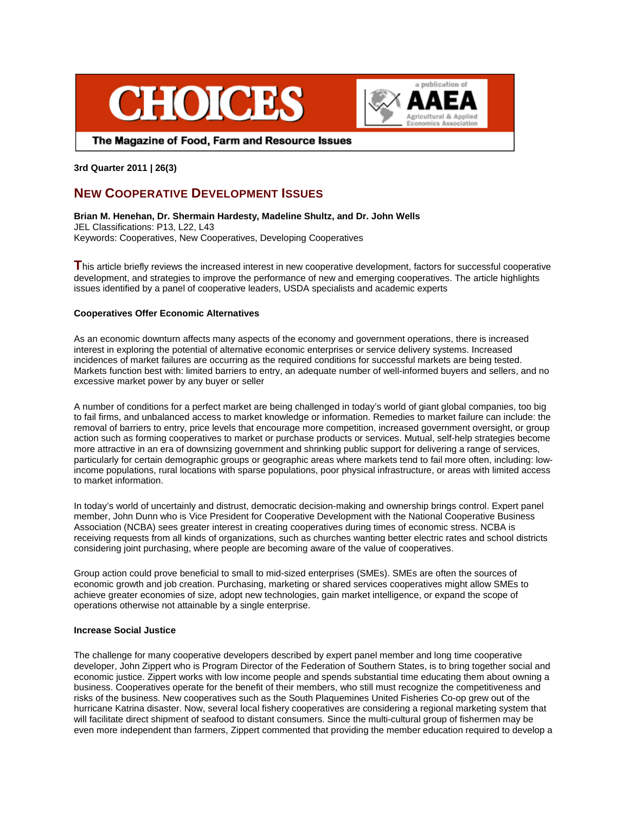



The Magazine of Food, Farm and Resource Issues

**3rd Quarter 2011 | 26(3)**

# **NEW COOPERATIVE DEVELOPMENT ISSUES**

**Brian M. Henehan, Dr. Shermain Hardesty, Madeline Shultz, and Dr. John Wells** JEL Classifications: P13, L22, L43 Keywords: Cooperatives, New Cooperatives, Developing Cooperatives

This article briefly reviews the increased interest in new cooperative development, factors for successful cooperative development, and strategies to improve the performance of new and emerging cooperatives. The article highlights issues identified by a panel of cooperative leaders, USDA specialists and academic experts

## **Cooperatives Offer Economic Alternatives**

As an economic downturn affects many aspects of the economy and government operations, there is increased interest in exploring the potential of alternative economic enterprises or service delivery systems. Increased incidences of market failures are occurring as the required conditions for successful markets are being tested. Markets function best with: limited barriers to entry, an adequate number of well-informed buyers and sellers, and no excessive market power by any buyer or seller

A number of conditions for a perfect market are being challenged in today's world of giant global companies, too big to fail firms, and unbalanced access to market knowledge or information. Remedies to market failure can include: the removal of barriers to entry, price levels that encourage more competition, increased government oversight, or group action such as forming cooperatives to market or purchase products or services. Mutual, self-help strategies become more attractive in an era of downsizing government and shrinking public support for delivering a range of services, particularly for certain demographic groups or geographic areas where markets tend to fail more often, including: lowincome populations, rural locations with sparse populations, poor physical infrastructure, or areas with limited access to market information.

In today's world of uncertainly and distrust, democratic decision-making and ownership brings control. Expert panel member, John Dunn who is Vice President for Cooperative Development with the National Cooperative Business Association (NCBA) sees greater interest in creating cooperatives during times of economic stress. NCBA is receiving requests from all kinds of organizations, such as churches wanting better electric rates and school districts considering joint purchasing, where people are becoming aware of the value of cooperatives.

Group action could prove beneficial to small to mid-sized enterprises (SMEs). SMEs are often the sources of economic growth and job creation. Purchasing, marketing or shared services cooperatives might allow SMEs to achieve greater economies of size, adopt new technologies, gain market intelligence, or expand the scope of operations otherwise not attainable by a single enterprise.

# **Increase Social Justice**

The challenge for many cooperative developers described by expert panel member and long time cooperative developer, John Zippert who is Program Director of the Federation of Southern States, is to bring together social and economic justice. Zippert works with low income people and spends substantial time educating them about owning a business. Cooperatives operate for the benefit of their members, who still must recognize the competitiveness and risks of the business. New cooperatives such as the South Plaquemines United Fisheries Co-op grew out of the hurricane Katrina disaster. Now, several local fishery cooperatives are considering a regional marketing system that will facilitate direct shipment of seafood to distant consumers. Since the multi-cultural group of fishermen may be even more independent than farmers, Zippert commented that providing the member education required to develop a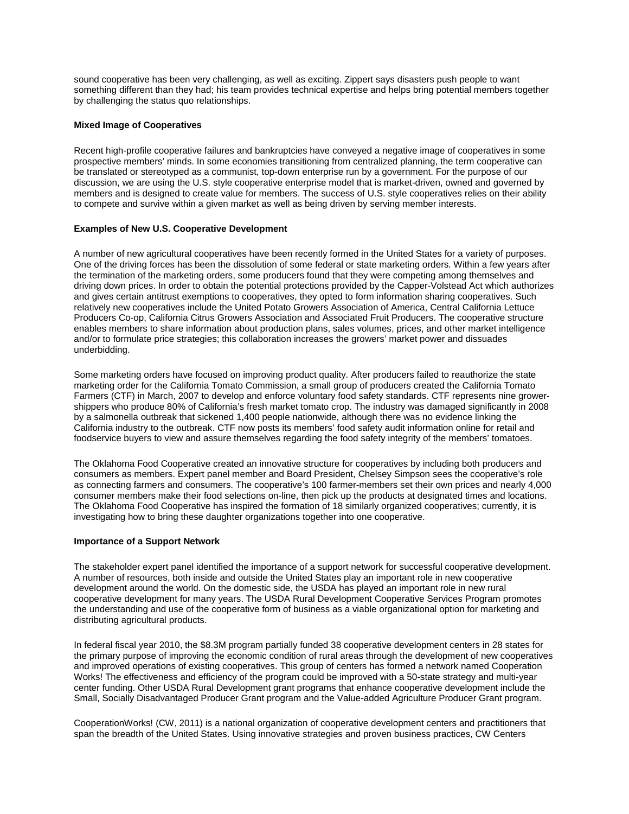sound cooperative has been very challenging, as well as exciting. Zippert says disasters push people to want something different than they had; his team provides technical expertise and helps bring potential members together by challenging the status quo relationships.

### **Mixed Image of Cooperatives**

Recent high-profile cooperative failures and bankruptcies have conveyed a negative image of cooperatives in some prospective members' minds. In some economies transitioning from centralized planning, the term cooperative can be translated or stereotyped as a communist, top-down enterprise run by a government. For the purpose of our discussion, we are using the U.S. style cooperative enterprise model that is market-driven, owned and governed by members and is designed to create value for members. The success of U.S. style cooperatives relies on their ability to compete and survive within a given market as well as being driven by serving member interests.

#### **Examples of New U.S. Cooperative Development**

A number of new agricultural cooperatives have been recently formed in the United States for a variety of purposes. One of the driving forces has been the dissolution of some federal or state marketing orders. Within a few years after the termination of the marketing orders, some producers found that they were competing among themselves and driving down prices. In order to obtain the potential protections provided by the Capper-Volstead Act which authorizes and gives certain antitrust exemptions to cooperatives, they opted to form information sharing cooperatives. Such relatively new cooperatives include the United Potato Growers Association of America, Central California Lettuce Producers Co-op, California Citrus Growers Association and Associated Fruit Producers. The cooperative structure enables members to share information about production plans, sales volumes, prices, and other market intelligence and/or to formulate price strategies; this collaboration increases the growers' market power and dissuades underbidding.

Some marketing orders have focused on improving product quality. After producers failed to reauthorize the state marketing order for the California Tomato Commission, a small group of producers created the California Tomato Farmers (CTF) in March, 2007 to develop and enforce voluntary food safety standards. CTF represents nine growershippers who produce 80% of California's fresh market tomato crop. The industry was damaged significantly in 2008 by a salmonella outbreak that sickened 1,400 people nationwide, although there was no evidence linking the California industry to the outbreak. CTF now posts its members' food safety audit information online for retail and foodservice buyers to view and assure themselves regarding the food safety integrity of the members' tomatoes.

The Oklahoma Food Cooperative created an innovative structure for cooperatives by including both producers and consumers as members. Expert panel member and Board President, Chelsey Simpson sees the cooperative's role as connecting farmers and consumers. The cooperative's 100 farmer-members set their own prices and nearly 4,000 consumer members make their food selections on-line, then pick up the products at designated times and locations. The Oklahoma Food Cooperative has inspired the formation of 18 similarly organized cooperatives; currently, it is investigating how to bring these daughter organizations together into one cooperative.

#### **Importance of a Support Network**

The stakeholder expert panel identified the importance of a support network for successful cooperative development. A number of resources, both inside and outside the United States play an important role in new cooperative development around the world. On the domestic side, the USDA has played an important role in new rural cooperative development for many years. The USDA Rural Development Cooperative Services Program promotes the understanding and use of the cooperative form of business as a viable organizational option for marketing and distributing agricultural products.

In federal fiscal year 2010, the \$8.3M program partially funded 38 cooperative development centers in 28 states for the primary purpose of improving the economic condition of rural areas through the development of new cooperatives and improved operations of existing cooperatives. This group of centers has formed a network named Cooperation Works! The effectiveness and efficiency of the program could be improved with a 50-state strategy and multi-year center funding. Other USDA Rural Development grant programs that enhance cooperative development include the Small, Socially Disadvantaged Producer Grant program and the Value-added Agriculture Producer Grant program.

CooperationWorks! (CW, 2011) is a national organization of cooperative development centers and practitioners that span the breadth of the United States. Using innovative strategies and proven business practices, CW Centers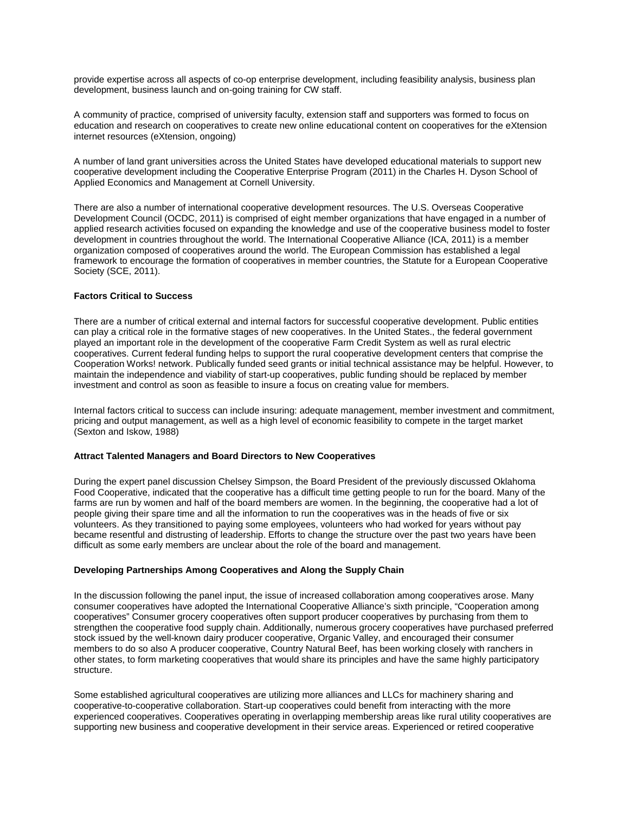provide expertise across all aspects of co-op enterprise development, including feasibility analysis, business plan development, business launch and on-going training for CW staff.

A community of practice, comprised of university faculty, extension staff and supporters was formed to focus on education and research on cooperatives to create new online educational content on cooperatives for the eXtension internet resources (eXtension, ongoing)

A number of land grant universities across the United States have developed educational materials to support new cooperative development including the Cooperative Enterprise Program (2011) in the Charles H. Dyson School of Applied Economics and Management at Cornell University.

There are also a number of international cooperative development resources. The U.S. Overseas Cooperative Development Council (OCDC, 2011) is comprised of eight member organizations that have engaged in a number of applied research activities focused on expanding the knowledge and use of the cooperative business model to foster development in countries throughout the world. The International Cooperative Alliance (ICA, 2011) is a member organization composed of cooperatives around the world. The European Commission has established a legal framework to encourage the formation of cooperatives in member countries, the Statute for a European Cooperative Society (SCE, 2011).

#### **Factors Critical to Success**

There are a number of critical external and internal factors for successful cooperative development. Public entities can play a critical role in the formative stages of new cooperatives. In the United States., the federal government played an important role in the development of the cooperative Farm Credit System as well as rural electric cooperatives. Current federal funding helps to support the rural cooperative development centers that comprise the Cooperation Works! network. Publically funded seed grants or initial technical assistance may be helpful. However, to maintain the independence and viability of start-up cooperatives, public funding should be replaced by member investment and control as soon as feasible to insure a focus on creating value for members.

Internal factors critical to success can include insuring: adequate management, member investment and commitment, pricing and output management, as well as a high level of economic feasibility to compete in the target market (Sexton and Iskow, 1988)

#### **Attract Talented Managers and Board Directors to New Cooperatives**

During the expert panel discussion Chelsey Simpson, the Board President of the previously discussed Oklahoma Food Cooperative, indicated that the cooperative has a difficult time getting people to run for the board. Many of the farms are run by women and half of the board members are women. In the beginning, the cooperative had a lot of people giving their spare time and all the information to run the cooperatives was in the heads of five or six volunteers. As they transitioned to paying some employees, volunteers who had worked for years without pay became resentful and distrusting of leadership. Efforts to change the structure over the past two years have been difficult as some early members are unclear about the role of the board and management.

### **Developing Partnerships Among Cooperatives and Along the Supply Chain**

In the discussion following the panel input, the issue of increased collaboration among cooperatives arose. Many consumer cooperatives have adopted the International Cooperative Alliance's sixth principle, "Cooperation among cooperatives" Consumer grocery cooperatives often support producer cooperatives by purchasing from them to strengthen the cooperative food supply chain. Additionally, numerous grocery cooperatives have purchased preferred stock issued by the well-known dairy producer cooperative, Organic Valley, and encouraged their consumer members to do so also A producer cooperative, Country Natural Beef, has been working closely with ranchers in other states, to form marketing cooperatives that would share its principles and have the same highly participatory structure.

Some established agricultural cooperatives are utilizing more alliances and LLCs for machinery sharing and cooperative-to-cooperative collaboration. Start-up cooperatives could benefit from interacting with the more experienced cooperatives. Cooperatives operating in overlapping membership areas like rural utility cooperatives are supporting new business and cooperative development in their service areas. Experienced or retired cooperative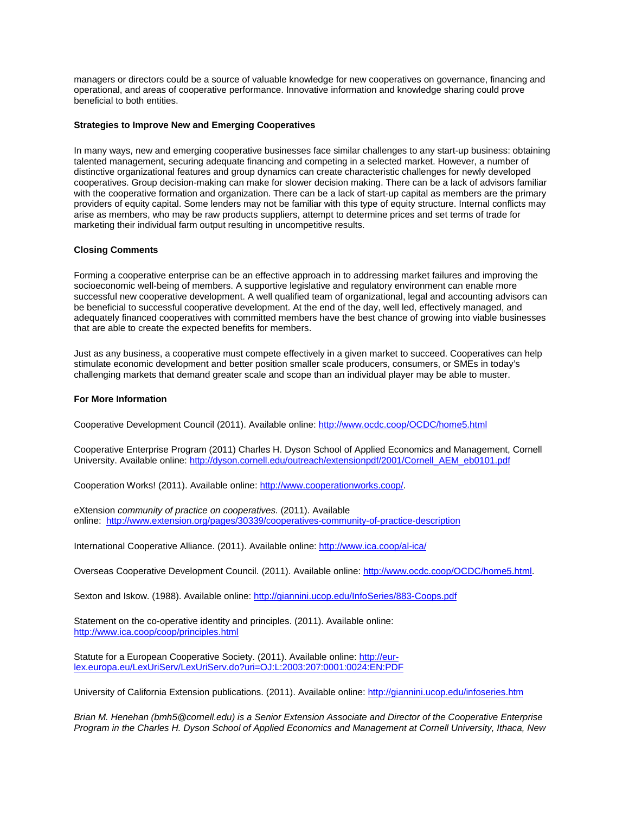managers or directors could be a source of valuable knowledge for new cooperatives on governance, financing and operational, and areas of cooperative performance. Innovative information and knowledge sharing could prove beneficial to both entities.

#### **Strategies to Improve New and Emerging Cooperatives**

In many ways, new and emerging cooperative businesses face similar challenges to any start-up business: obtaining talented management, securing adequate financing and competing in a selected market. However, a number of distinctive organizational features and group dynamics can create characteristic challenges for newly developed cooperatives. Group decision-making can make for slower decision making. There can be a lack of advisors familiar with the cooperative formation and organization. There can be a lack of start-up capital as members are the primary providers of equity capital. Some lenders may not be familiar with this type of equity structure. Internal conflicts may arise as members, who may be raw products suppliers, attempt to determine prices and set terms of trade for marketing their individual farm output resulting in uncompetitive results.

#### **Closing Comments**

Forming a cooperative enterprise can be an effective approach in to addressing market failures and improving the socioeconomic well-being of members. A supportive legislative and regulatory environment can enable more successful new cooperative development. A well qualified team of organizational, legal and accounting advisors can be beneficial to successful cooperative development. At the end of the day, well led, effectively managed, and adequately financed cooperatives with committed members have the best chance of growing into viable businesses that are able to create the expected benefits for members.

Just as any business, a cooperative must compete effectively in a given market to succeed. Cooperatives can help stimulate economic development and better position smaller scale producers, consumers, or SMEs in today's challenging markets that demand greater scale and scope than an individual player may be able to muster.

#### **For More Information**

Cooperative Development Council (2011). Available online:<http://www.ocdc.coop/OCDC/home5.html>

Cooperative Enterprise Program (2011) Charles H. Dyson School of Applied Economics and Management, Cornell University. Available online[: http://dyson.cornell.edu/outreach/extensionpdf/2001/Cornell\\_AEM\\_eb0101.pdf](http://dyson.cornell.edu/outreach/extensionpdf/2001/Cornell_AEM_eb0101.pdf)

Cooperation Works! (2011). Available online: [http://www.cooperationworks.coop/.](http://www.cooperationworks.coop/)

eXtension *community of practice on cooperatives*. (2011). Available online: <http://www.extension.org/pages/30339/cooperatives-community-of-practice-description>

International Cooperative Alliance. (2011). Available online[: http://www.ica.coop/al-ica/](http://www.ica.coop/al-ica/)

Overseas Cooperative Development Council. (2011). Available online[: http://www.ocdc.coop/OCDC/home5.html.](http://www.ocdc.coop/OCDC/home5.html)

Sexton and Iskow. (1988). Available online:<http://giannini.ucop.edu/InfoSeries/883-Coops.pdf>

Statement on the co-operative identity and principles. (2011). Available online: <http://www.ica.coop/coop/principles.html>

Statute for a European Cooperative Society. (2011). Available online[: http://eur](http://eur-lex.europa.eu/LexUriServ/LexUriServ.do?uri=OJ:L:2003:207:0001:0024:EN:PDF)[lex.europa.eu/LexUriServ/LexUriServ.do?uri=OJ:L:2003:207:0001:0024:EN:PDF](http://eur-lex.europa.eu/LexUriServ/LexUriServ.do?uri=OJ:L:2003:207:0001:0024:EN:PDF)

University of California Extension publications. (2011). Available online: <http://giannini.ucop.edu/infoseries.htm>

*Brian M. Henehan (bmh5@cornell.edu) is a Senior Extension Associate and Director of the Cooperative Enterprise Program in the Charles H. Dyson School of Applied Economics and Management at Cornell University, Ithaca, New*